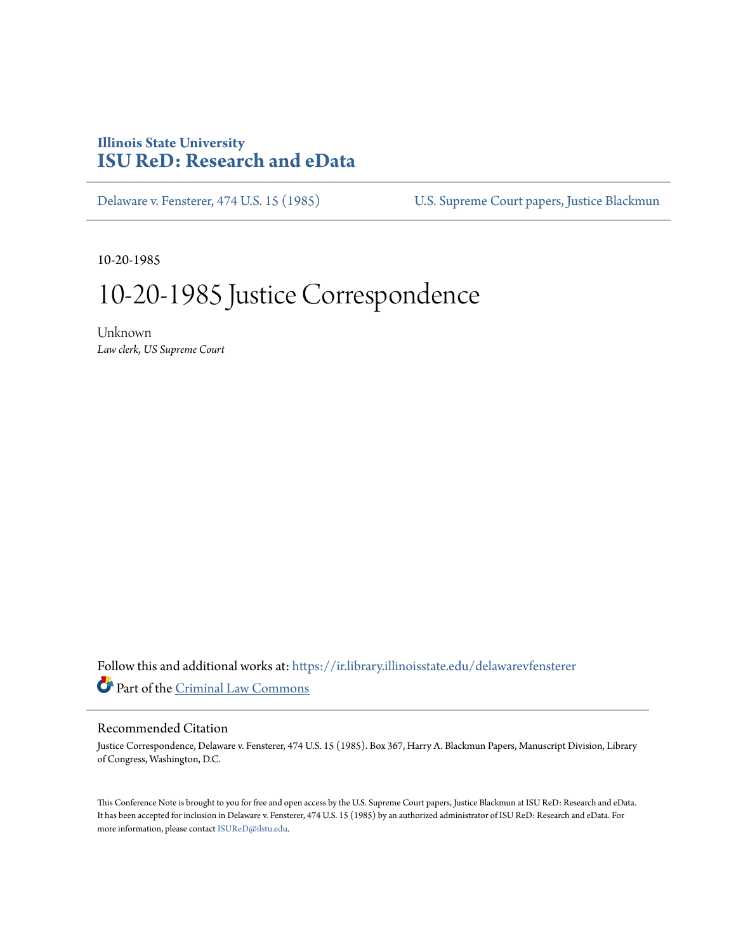## **Illinois State University [ISU ReD: Research and eData](https://ir.library.illinoisstate.edu?utm_source=ir.library.illinoisstate.edu%2Fdelawarevfensterer%2F9&utm_medium=PDF&utm_campaign=PDFCoverPages)**

[Delaware v. Fensterer, 474 U.S. 15 \(1985\)](https://ir.library.illinoisstate.edu/delawarevfensterer?utm_source=ir.library.illinoisstate.edu%2Fdelawarevfensterer%2F9&utm_medium=PDF&utm_campaign=PDFCoverPages) [U.S. Supreme Court papers, Justice Blackmun](https://ir.library.illinoisstate.edu/ss?utm_source=ir.library.illinoisstate.edu%2Fdelawarevfensterer%2F9&utm_medium=PDF&utm_campaign=PDFCoverPages)

10-20-1985

## 10-20-1985 Justice Correspondence

Unknown *Law clerk, US Supreme Court*

Follow this and additional works at: [https://ir.library.illinoisstate.edu/delawarevfensterer](https://ir.library.illinoisstate.edu/delawarevfensterer?utm_source=ir.library.illinoisstate.edu%2Fdelawarevfensterer%2F9&utm_medium=PDF&utm_campaign=PDFCoverPages) Part of the [Criminal Law Commons](http://network.bepress.com/hgg/discipline/912?utm_source=ir.library.illinoisstate.edu%2Fdelawarevfensterer%2F9&utm_medium=PDF&utm_campaign=PDFCoverPages)

## Recommended Citation

Justice Correspondence, Delaware v. Fensterer, 474 U.S. 15 (1985). Box 367, Harry A. Blackmun Papers, Manuscript Division, Library of Congress, Washington, D.C.

This Conference Note is brought to you for free and open access by the U.S. Supreme Court papers, Justice Blackmun at ISU ReD: Research and eData. It has been accepted for inclusion in Delaware v. Fensterer, 474 U.S. 15 (1985) by an authorized administrator of ISU ReD: Research and eData. For more information, please contact [ISUReD@ilstu.edu](mailto:ISUReD@ilstu.edu).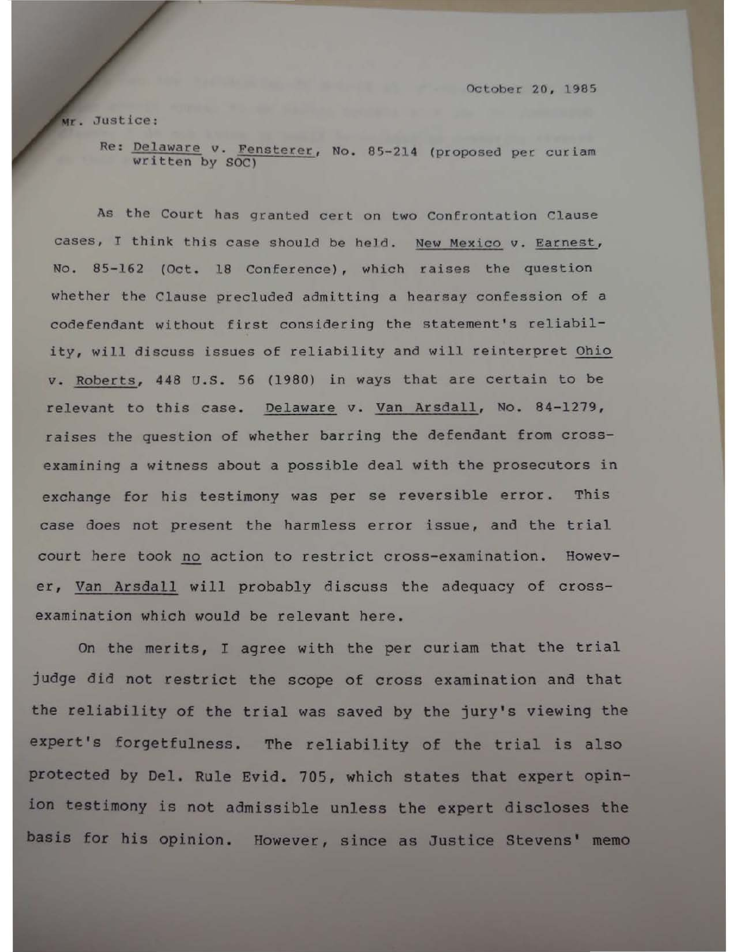October 20, 1985

Mr. Justice:

Re: Delaware v. Fensterer, No. 85-214 (proposed per curiam written by SOC)

As the Court has granted cert on two Confrontation Clause cases, I think this case should be held. New Mexico v. Earnest, No. 85-162 (Oct. 18 Conference), which raises the question whether the Clause precluded admitting a hearsay confession of a codefendant without first considering the statement's reliability, will discuss issues of reliability and will reinterpret Ohio v. Roberts, 448 u.s. 56 (1980) in ways that are certain to be relevant to this case. Oelaware v. Van Arsdall, No. 84-1279, raises the question of whether barring the defendant from crossexamining a witness about a possible deal with the prosecutors in exchange for his testimony was per se reversible error. This case does not present the harmless error issue, and the trial court here took no action to restrict cross-examination. However, Van Arsdall will probably discuss the adequacy of crossexamination which would be relevant here.

On the merits, I agree with the per curiam that the trial judge did not restrict the scope of cross examination and that the reliability of the trial was saved by the jury's viewing the expert's forgetfulness. The reliability of the trial is also protected by Del. Rule Evid. 705, which states that expert opinion testimony is not admissible unless the expert discloses the basis for his opinion. However, since as Justice Stevens' memo